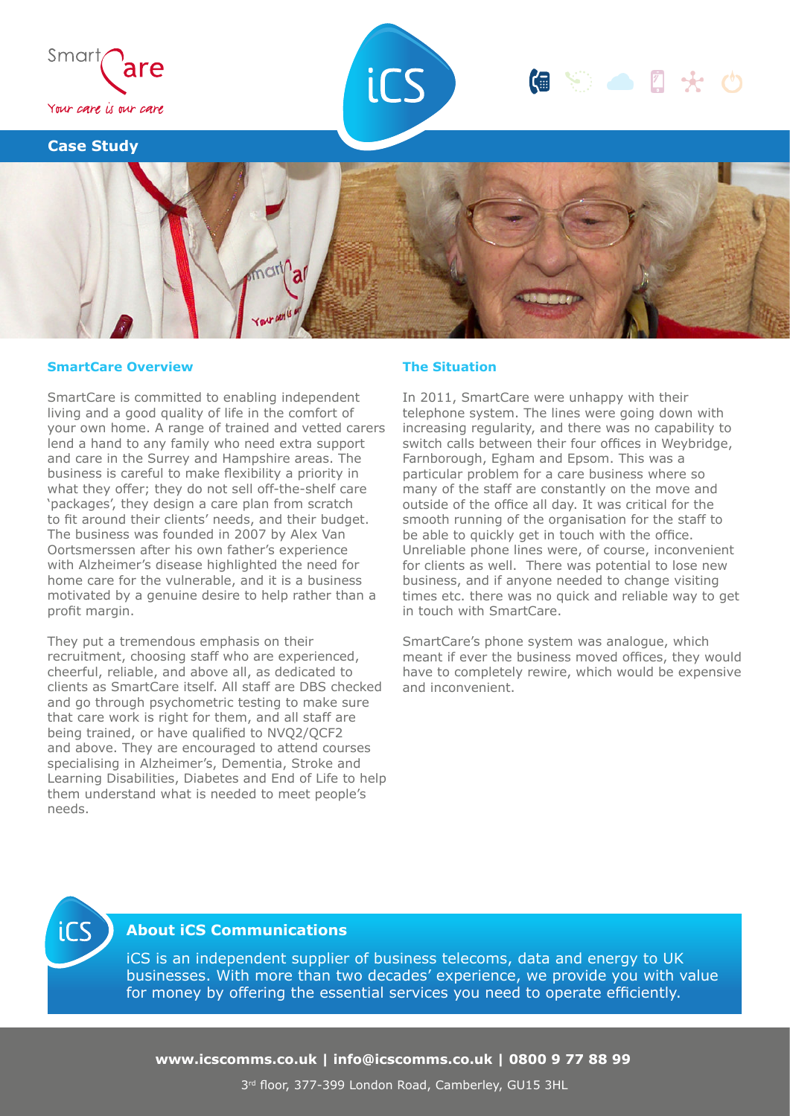

#### **SmartCare Overview**

SmartCare is committed to enabling independent living and a good quality of life in the comfort of your own home. A range of trained and vetted carers lend a hand to any family who need extra support and care in the Surrey and Hampshire areas. The business is careful to make flexibility a priority in what they offer; they do not sell off-the-shelf care 'packages', they design a care plan from scratch to fit around their clients' needs, and their budget. The business was founded in 2007 by Alex Van Oortsmerssen after his own father's experience with Alzheimer's disease highlighted the need for home care for the vulnerable, and it is a business motivated by a genuine desire to help rather than a profit margin.

They put a tremendous emphasis on their recruitment, choosing staff who are experienced, cheerful, reliable, and above all, as dedicated to clients as SmartCare itself. All staff are DBS checked and go through psychometric testing to make sure that care work is right for them, and all staff are being trained, or have qualified to NVQ2/QCF2 and above. They are encouraged to attend courses specialising in Alzheimer's, Dementia, Stroke and Learning Disabilities, Diabetes and End of Life to help them understand what is needed to meet people's needs.

#### **The Situation**

In 2011, SmartCare were unhappy with their telephone system. The lines were going down with increasing regularity, and there was no capability to switch calls between their four offices in Weybridge, Farnborough, Egham and Epsom. This was a particular problem for a care business where so many of the staff are constantly on the move and outside of the office all day. It was critical for the smooth running of the organisation for the staff to be able to quickly get in touch with the office. Unreliable phone lines were, of course, inconvenient for clients as well. There was potential to lose new business, and if anyone needed to change visiting times etc. there was no quick and reliable way to get in touch with SmartCare.

SmartCare's phone system was analogue, which meant if ever the business moved offices, they would have to completely rewire, which would be expensive and inconvenient.



## **About iCS Communications**

iCS is an independent supplier of business telecoms, data and energy to UK businesses. With more than two decades' experience, we provide you with value for money by offering the essential services you need to operate efficiently.

**www.icscomms.co.uk | info@icscomms.co.uk | 0800 9 77 88 99**

3 rd floor, 377-399 London Road, Camberley, GU15 3HL